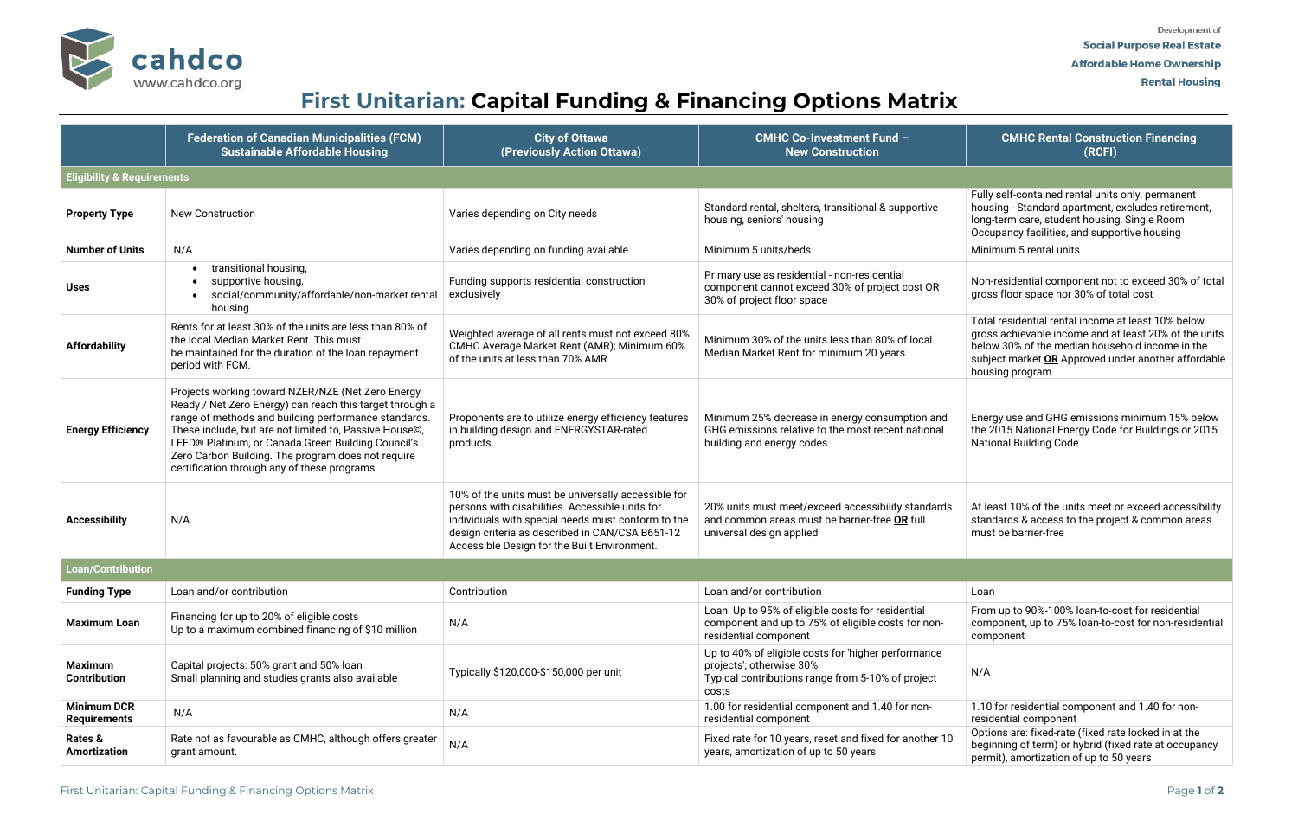

# **First Unitarian: Capital Funding & Financing Options Matrix**



|                                           | <b>Federation of Canadian Municipalities (FCM)</b><br><b>Sustainable Affordable Housing</b>                                                                                                                                                                                                                                                                                                 | <b>City of Ottawa</b><br>(Previously Action Ottawa)                                                                                                                                                                                                             | <b>CMHC Co-Investment Fund -</b><br><b>New Construction</b>                                                                                   | <b>CMHC Rental Construction Financing</b><br>(RCFI)                                                                                                                                                                                      |  |  |  |  |
|-------------------------------------------|---------------------------------------------------------------------------------------------------------------------------------------------------------------------------------------------------------------------------------------------------------------------------------------------------------------------------------------------------------------------------------------------|-----------------------------------------------------------------------------------------------------------------------------------------------------------------------------------------------------------------------------------------------------------------|-----------------------------------------------------------------------------------------------------------------------------------------------|------------------------------------------------------------------------------------------------------------------------------------------------------------------------------------------------------------------------------------------|--|--|--|--|
| <b>Eligibility &amp; Requirements</b>     |                                                                                                                                                                                                                                                                                                                                                                                             |                                                                                                                                                                                                                                                                 |                                                                                                                                               |                                                                                                                                                                                                                                          |  |  |  |  |
| <b>Property Type</b>                      | <b>New Construction</b>                                                                                                                                                                                                                                                                                                                                                                     | Varies depending on City needs                                                                                                                                                                                                                                  | Standard rental, shelters, transitional & supportive<br>housing, seniors' housing                                                             | Fully self-contained rental units only, permanent<br>housing - Standard apartment, excludes retirement,<br>long-term care, student housing, Single Room<br>Occupancy facilities, and supportive housing                                  |  |  |  |  |
| <b>Number of Units</b>                    | N/A                                                                                                                                                                                                                                                                                                                                                                                         | Varies depending on funding available                                                                                                                                                                                                                           | Minimum 5 units/beds                                                                                                                          | Minimum 5 rental units                                                                                                                                                                                                                   |  |  |  |  |
| <b>Uses</b>                               | transitional housing,<br>supportive housing,<br>social/community/affordable/non-market rental<br>housing.                                                                                                                                                                                                                                                                                   | Funding supports residential construction<br>exclusively                                                                                                                                                                                                        | Primary use as residential - non-residential<br>component cannot exceed 30% of project cost OR<br>30% of project floor space                  | Non-residential component not to exceed 30% of total<br>gross floor space nor 30% of total cost                                                                                                                                          |  |  |  |  |
| <b>Affordability</b>                      | Rents for at least 30% of the units are less than 80% of<br>the local Median Market Rent. This must<br>be maintained for the duration of the loan repayment<br>period with FCM.                                                                                                                                                                                                             | Weighted average of all rents must not exceed 80%<br>CMHC Average Market Rent (AMR); Minimum 60%<br>of the units at less than 70% AMR                                                                                                                           | Minimum 30% of the units less than 80% of local<br>Median Market Rent for minimum 20 years                                                    | Total residential rental income at least 10% below<br>gross achievable income and at least 20% of the units<br>below 30% of the median household income in the<br>subject market OR Approved under another affordable<br>housing program |  |  |  |  |
| <b>Energy Efficiency</b>                  | Projects working toward NZER/NZE (Net Zero Energy<br>Ready / Net Zero Energy) can reach this target through a<br>range of methods and building performance standards.<br>These include, but are not limited to, Passive House©,<br>LEED® Platinum, or Canada Green Building Council's<br>Zero Carbon Building. The program does not require<br>certification through any of these programs. | Proponents are to utilize energy efficiency features<br>in building design and ENERGYSTAR-rated<br>products.                                                                                                                                                    | Minimum 25% decrease in energy consumption and<br>GHG emissions relative to the most recent national<br>building and energy codes             | Energy use and GHG emissions minimum 15% below<br>the 2015 National Energy Code for Buildings or 2015<br><b>National Building Code</b>                                                                                                   |  |  |  |  |
| <b>Accessibility</b>                      | N/A                                                                                                                                                                                                                                                                                                                                                                                         | 10% of the units must be universally accessible for<br>persons with disabilities. Accessible units for<br>individuals with special needs must conform to the<br>design criteria as described in CAN/CSA B651-12<br>Accessible Design for the Built Environment. | 20% units must meet/exceed accessibility standards<br>and common areas must be barrier-free OR full<br>universal design applied               | At least 10% of the units meet or exceed accessibility<br>standards & access to the project & common areas<br>must be barrier-free                                                                                                       |  |  |  |  |
| <b>Loan/Contribution</b>                  |                                                                                                                                                                                                                                                                                                                                                                                             |                                                                                                                                                                                                                                                                 |                                                                                                                                               |                                                                                                                                                                                                                                          |  |  |  |  |
| <b>Funding Type</b>                       | Loan and/or contribution                                                                                                                                                                                                                                                                                                                                                                    | Contribution                                                                                                                                                                                                                                                    | Loan and/or contribution                                                                                                                      | Loan                                                                                                                                                                                                                                     |  |  |  |  |
| <b>Maximum Loan</b>                       | Financing for up to 20% of eligible costs<br>Up to a maximum combined financing of \$10 million                                                                                                                                                                                                                                                                                             | N/A                                                                                                                                                                                                                                                             | Loan: Up to 95% of eligible costs for residential<br>component and up to 75% of eligible costs for non-<br>residential component              | From up to 90%-100% loan-to-cost for residential<br>component, up to 75% loan-to-cost for non-residential<br>component                                                                                                                   |  |  |  |  |
| Maximum<br>Contribution                   | Capital projects: 50% grant and 50% loan<br>Small planning and studies grants also available                                                                                                                                                                                                                                                                                                | Typically \$120,000-\$150,000 per unit                                                                                                                                                                                                                          | Up to 40% of eligible costs for 'higher performance<br>projects'; otherwise 30%<br>Typical contributions range from 5-10% of project<br>costs | N/A                                                                                                                                                                                                                                      |  |  |  |  |
| <b>Minimum DCR</b><br><b>Requirements</b> | N/A                                                                                                                                                                                                                                                                                                                                                                                         | N/A                                                                                                                                                                                                                                                             | 1.00 for residential component and 1.40 for non-<br>residential component                                                                     | 1.10 for residential component and 1.40 for non-<br>residential component                                                                                                                                                                |  |  |  |  |
| Rates &<br><b>Amortization</b>            | Rate not as favourable as CMHC, although offers greater<br>grant amount.                                                                                                                                                                                                                                                                                                                    | N/A                                                                                                                                                                                                                                                             | Fixed rate for 10 years, reset and fixed for another 10<br>years, amortization of up to 50 years                                              | Options are: fixed-rate (fixed rate locked in at the<br>beginning of term) or hybrid (fixed rate at occupancy<br>permit), amortization of up to 50 years                                                                                 |  |  |  |  |